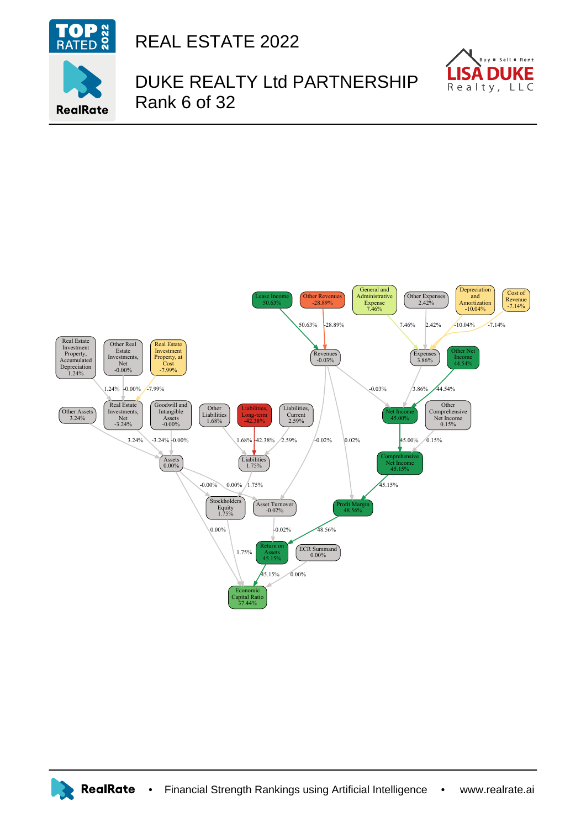

REAL ESTATE 2022